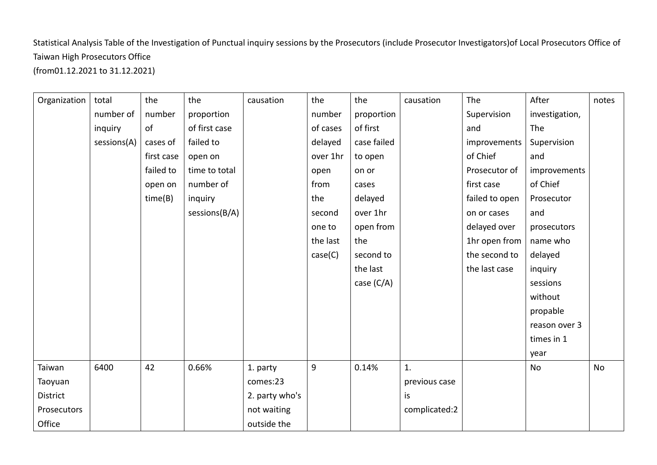Statistical Analysis Table of the Investigation of Punctual inquiry sessions by the Prosecutors (include Prosecutor Investigators)of Local Prosecutors Office of Taiwan High Prosecutors Office (from01.12.2021 to 31.12.2021)

| Organization | total       | the        | the           | causation      | the      | the          | causation      | The            | After          | notes |
|--------------|-------------|------------|---------------|----------------|----------|--------------|----------------|----------------|----------------|-------|
|              | number of   | number     | proportion    |                | number   | proportion   |                | Supervision    | investigation, |       |
|              | inquiry     | of         | of first case |                | of cases | of first     |                | and            | The            |       |
|              | sessions(A) | cases of   | failed to     |                | delayed  | case failed  |                | improvements   | Supervision    |       |
|              |             | first case | open on       |                | over 1hr | to open      |                | of Chief       | and            |       |
|              |             | failed to  | time to total |                | open     | on or        |                | Prosecutor of  | improvements   |       |
|              |             | open on    | number of     |                | from     | cases        |                | first case     | of Chief       |       |
|              |             | time(B)    | inquiry       |                | the      | delayed      |                | failed to open | Prosecutor     |       |
|              |             |            | sessions(B/A) |                | second   | over 1hr     |                | on or cases    | and            |       |
|              |             |            |               |                | one to   | open from    |                | delayed over   | prosecutors    |       |
|              |             |            |               |                | the last | the          |                | 1hr open from  | name who       |       |
|              |             |            |               |                | case(C)  | second to    |                | the second to  | delayed        |       |
|              |             |            |               |                |          | the last     |                | the last case  | inquiry        |       |
|              |             |            |               |                |          | case $(C/A)$ |                |                | sessions       |       |
|              |             |            |               |                |          |              |                |                | without        |       |
|              |             |            |               |                |          |              |                |                | propable       |       |
|              |             |            |               |                |          |              |                |                | reason over 3  |       |
|              |             |            |               |                |          |              |                |                | times in 1     |       |
|              |             |            |               |                |          |              |                |                | year           |       |
| Taiwan       | 6400        | 42         | 0.66%         | 1. party       | 9        | 0.14%        | $\mathbf{1}$ . |                | No             | No    |
| Taoyuan      |             |            |               | comes:23       |          |              | previous case  |                |                |       |
| District     |             |            |               | 2. party who's |          |              | is             |                |                |       |
| Prosecutors  |             |            |               | not waiting    |          |              | complicated:2  |                |                |       |
| Office       |             |            |               | outside the    |          |              |                |                |                |       |